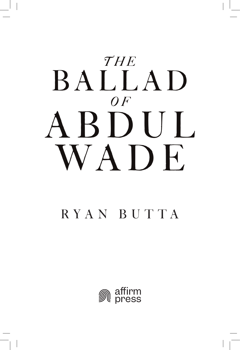

# RYA N B U T TA

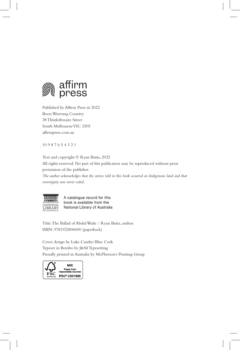

Published by Affirm Press in 2022 Boon Wurrung Country 28 Thistlethwaite Street South Melbourne VIC 3205 affirmpress.com.au

10 9 8 7 6 5 4 3 2 1

Text and copyright © Ryan Butta, 2022

All rights reserved. No part of this publication may be reproduced without prior permission of the publisher.

*The author acknowledges that the stories told in this book occurred on Indigenous land and that sovereignty was never ceded.*



A catalogue record for this book is available from the National Library of Australia

Title: The Ballad of Abdul Wade / Ryan Butta, author. ISBN: 9781922806000 (paperback)

Cover design by Luke Causby/Blue Cork Typeset in Bembo by J&M Typesetting Proudly printed in Australia by McPherson's Printing Group

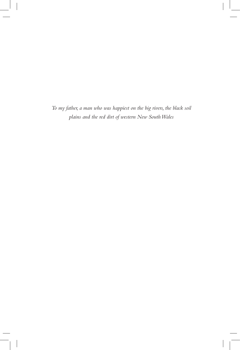*To my father, a man who was happiest on the big rivers, the black soil plains and the red dirt of western New South Wales*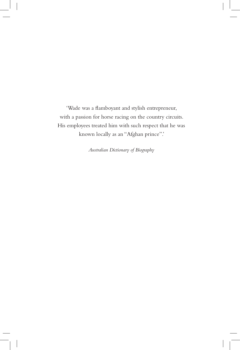'Wade was a flamboyant and stylish entrepreneur, with a passion for horse racing on the country circuits. His employees treated him with such respect that he was known locally as an "Afghan prince".'

*Australian Dictionary of Biography*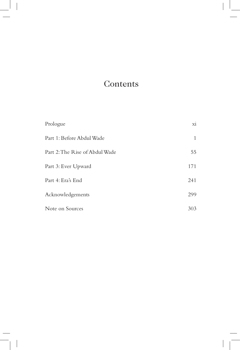# **Contents**

| Prologue                       | $\overline{xi}$ |
|--------------------------------|-----------------|
| Part 1: Before Abdul Wade      | 1               |
| Part 2: The Rise of Abdul Wade | 55              |
| Part 3: Ever Upward            | 171             |
| Part 4: Era's End              | 241             |
| Acknowledgements               | 299             |
| Note on Sources                | 303             |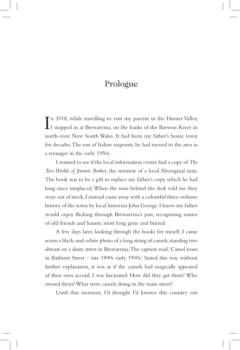#### Prologue

In 2018, while travelling to visit my parents in the Hunter Valley,<br>I stopped in at Brewarrina, on the banks of the Barwon River in I stopped in at Brewarrina, on the banks of the Barwon River in north-west New South Wales. It had been my father's home town for decades. The son of Italian migrants, he had moved to the area as a teenager in the early 1950s.

I wanted to see if the local information centre had a copy of *The Two Worlds of Jimmie Barker*, the memoir of a local Aboriginal man. The book was to be a gift to replace my father's copy, which he had long since misplaced. When the man behind the desk told me they were out of stock, I instead came away with a colourful three-volume history of the town by local historian John George. I knew my father would enjoy flicking through Brewarrina's past, recognising names of old friends and haunts, most long gone and buried.

A few days later, looking through the books for myself, I came across a black-and-white photo of a long string of camels, standing two abreast on a dusty street in Brewarrina. The caption read, 'Camel team in Bathurst Street – late 1890s early 1900s.' Stated this way without further explanation, it was as if the camels had magically appeared of their own accord. I was fascinated. How did they get there? Who owned them? What were camels doing in the main street?

Until that moment, I'd thought I'd known this country out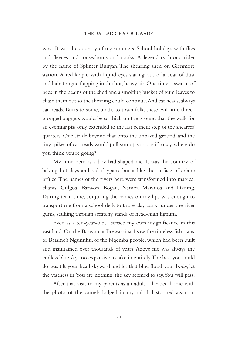west. It was the country of my summers. School holidays with flies and fleeces and rouseabouts and cooks. A legendary bronc rider by the name of Splinter Bunyan. The shearing shed on Glenmore station. A red kelpie with liquid eyes staring out of a coat of dust and hair, tongue flapping in the hot, heavy air. One time, a swarm of bees in the beams of the shed and a smoking bucket of gum leaves to chase them out so the shearing could continue. And cat heads, always cat heads. Burrs to some, bindis to town folk, these evil little threepronged buggers would be so thick on the ground that the walk for an evening piss only extended to the last cement step of the shearers' quarters. One stride beyond that onto the unpaved ground, and the tiny spikes of cat heads would pull you up short as if to say, where do you think you're going?

My time here as a boy had shaped me. It was the country of baking hot days and red claypans, burnt like the surface of crème brûlée. The names of the rivers here were transformed into magical chants. Culgoa, Barwon, Bogan, Namoi, Maranoa and Darling. During term time, conjuring the names on my lips was enough to transport me from a school desk to those clay banks under the river gums, stalking through scratchy stands of head-high lignum.

Even as a ten-year-old, I sensed my own insignificance in this vast land. On the Barwon at Brewarrina, I saw the timeless fish traps, or Baiame's Ngunnhu, of the Ngemba people, which had been built and maintained over thousands of years. Above me was always the endless blue sky, too expansive to take in entirely. The best you could do was tilt your head skyward and let that blue flood your body, let the vastness in. You are nothing, the sky seemed to say. You will pass.

After that visit to my parents as an adult, I headed home with the photo of the camels lodged in my mind. I stopped again in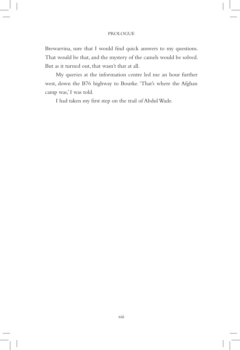#### PROLOGUE

Brewarrina, sure that I would find quick answers to my questions. That would be that, and the mystery of the camels would be solved. But as it turned out, that wasn't that at all.

My queries at the information centre led me an hour further west, down the B76 highway to Bourke. 'That's where the Afghan camp was,' I was told.

I had taken my first step on the trail of Abdul Wade.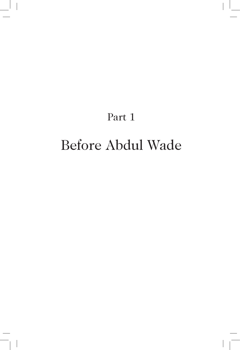# Part 1

# Before Abdul Wade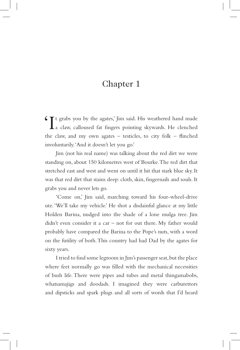## Chapter 1

'It grabs you by the agates,' Jim said. His weathered hand made a claw, calloused fat fingers pointing skywards. He clenched the claw, and my own agates – testicles, to city folk – flinched involuntarily. 'And it doesn't let you go.'

Jim (not his real name) was talking about the red dirt we were standing on, about 150 kilometres west of Bourke. The red dirt that stretched east and west and went on until it hit that stark blue sky. It was that red dirt that stains deep: cloth, skin, fingernails and souls. It grabs you and never lets go.

'Come on,' Jim said, marching toward his four-wheel-drive ute. 'We'll take my vehicle.' He shot a disdainful glance at my little Holden Barina, nudged into the shade of a lone mulga tree. Jim didn't even consider it a car – not for out there. My father would probably have compared the Barina to the Pope's nuts, with a word on the futility of both. This country had had Dad by the agates for sixty years.

I tried to find some legroom in Jim's passenger seat, but the place where feet normally go was filled with the mechanical necessities of bush life. There were pipes and tubes and metal thingamabobs, whatsamajigs and doodads. I imagined they were carburettors and dipsticks and spark plugs and all sorts of words that I'd heard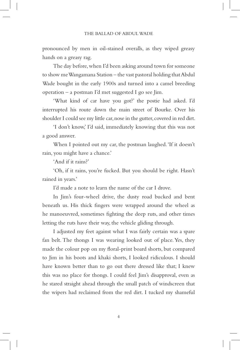pronounced by men in oil-stained overalls, as they wiped greasy hands on a greasy rag.

The day before, when I'd been asking around town for someone to show me Wangamana Station – the vast pastoral holding that Abdul Wade bought in the early 1900s and turned into a camel breeding operation – a postman I'd met suggested I go see Jim.

'What kind of car have you got?' the postie had asked. I'd interrupted his route down the main street of Bourke. Over his shoulder I could see my little car, nose in the gutter, covered in red dirt.

'I don't know,' I'd said, immediately knowing that this was not a good answer.

When I pointed out my car, the postman laughed. 'If it doesn't rain, you might have a chance.'

'And if it rains?'

'Oh, if it rains, you're fucked. But you should be right. Hasn't rained in years.'

I'd made a note to learn the name of the car I drove.

In Jim's four-wheel drive, the dusty road bucked and bent beneath us. His thick fingers were wrapped around the wheel as he manoeuvred, sometimes fighting the deep ruts, and other times letting the ruts have their way, the vehicle gliding through.

I adjusted my feet against what I was fairly certain was a spare fan belt. The thongs I was wearing looked out of place. Yes, they made the colour pop on my floral-print board shorts, but compared to Jim in his boots and khaki shorts, I looked ridiculous. I should have known better than to go out there dressed like that; I knew this was no place for thongs. I could feel Jim's disapproval, even as he stared straight ahead through the small patch of windscreen that the wipers had reclaimed from the red dirt. I tucked my shameful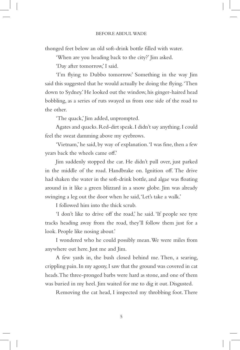thonged feet below an old soft-drink bottle filled with water.

'When are you heading back to the city?' Jim asked.

'Day after tomorrow,' I said.

'I'm flying to Dubbo tomorrow.' Something in the way Jim said this suggested that he would actually be doing the flying. 'Then down to Sydney.' He looked out the window, his ginger-haired head bobbling, as a series of ruts swayed us from one side of the road to the other.

'The quack,' Jim added, unprompted.

Agates and quacks. Red-dirt speak. I didn't say anything. I could feel the sweat damming above my eyebrows.

'Vietnam,' he said, by way of explanation. 'I was fine, then a few years back the wheels came off.'

Jim suddenly stopped the car. He didn't pull over, just parked in the middle of the road. Handbrake on. Ignition off. The drive had shaken the water in the soft-drink bottle, and algae was floating around in it like a green blizzard in a snow globe. Jim was already swinging a leg out the door when he said, 'Let's take a walk.'

I followed him into the thick scrub.

'I don't like to drive off the road,' he said. 'If people see tyre tracks heading away from the road, they'll follow them just for a look. People like nosing about.'

I wondered who he could possibly mean. We were miles from anywhere out here. Just me and Jim.

A few yards in, the bush closed behind me. Then, a searing, crippling pain. In my agony, I saw that the ground was covered in cat heads. The three-pronged barbs were hard as stone, and one of them was buried in my heel. Jim waited for me to dig it out. Disgusted.

Removing the cat head, I inspected my throbbing foot. There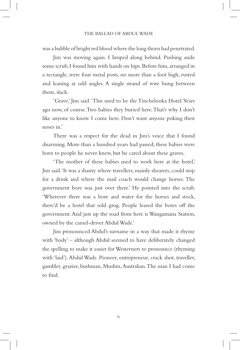was a bubble of bright red blood where the long thorn had penetrated.

Jim was moving again. I limped along behind. Pushing aside some scrub, I found him with hands on hips. Before him, arranged in a rectangle, were four metal posts, no more than a foot high, rusted and leaning at odd angles. A single strand of wire hung between them, slack.

'Grave,' Jim said. 'This used to be the Tinchelooka Hotel. Years ago now, of course. Two babies they buried here. That's why I don't like anyone to know I come here. Don't want anyone poking their noses in.'

There was a respect for the dead in Jim's voice that I found disarming. More than a hundred years had passed; these babies were born to people he never knew, but he cared about these graves.

'The mother of these babies used to work here at the hotel,' Jim said. 'It was a shanty where travellers, mainly shearers, could stop for a drink and where the mail coach would change horses. The government bore was just over there.' He pointed into the scrub. 'Wherever there was a bore and water for the horses and stock, there'd be a hotel that sold grog. People leased the bores off the government. And just up the road from here is Wangamana Station, owned by the camel-driver Abdul Wade.'

Jim pronounced Abdul's surname in a way that made it rhyme with 'body' – although Abdul seemed to have deliberately changed the spelling to make it easier for Westerners to pronounce (rhyming with 'laid'). Abdul Wade. Pioneer, entrepreneur, crack shot, traveller, gambler, grazier, bushman, Muslim, Australian. The man I had come to find.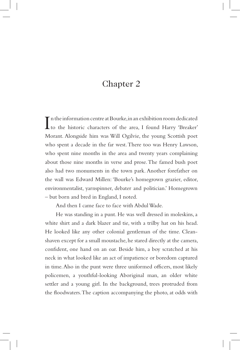## Chapter 2

In the information centre at Bourke, in an exhibition room dedicated<br>to the historic characters of the area, I found Harry 'Breaker' n the information centre at Bourke, in an exhibition room dedicated Morant. Alongside him was Will Ogilvie, the young Scottish poet who spent a decade in the far west. There too was Henry Lawson, who spent nine months in the area and twenty years complaining about those nine months in verse and prose. The famed bush poet also had two monuments in the town park. Another forefather on the wall was Edward Millen: 'Bourke's homegrown grazier, editor, environmentalist, yarnspinner, debater and politician.' Homegrown – but born and bred in England, I noted.

And then I came face to face with Abdul Wade.

He was standing in a punt. He was well dressed in moleskins, a white shirt and a dark blazer and tie, with a trilby hat on his head. He looked like any other colonial gentleman of the time. Cleanshaven except for a small moustache, he stared directly at the camera, confident, one hand on an oar. Beside him, a boy scratched at his neck in what looked like an act of impatience or boredom captured in time. Also in the punt were three uniformed officers, most likely policemen, a youthful-looking Aboriginal man, an older white settler and a young girl. In the background, trees protruded from the floodwaters. The caption accompanying the photo, at odds with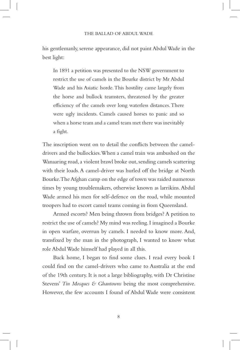his gentlemanly, serene appearance, did not paint Abdul Wade in the best light:

In 1891 a petition was presented to the NSW government to restrict the use of camels in the Bourke district by Mr Abdul Wade and his Asiatic horde. This hostility came largely from the horse and bullock teamsters, threatened by the greater efficiency of the camels over long waterless distances. There were ugly incidents. Camels caused horses to panic and so when a horse team and a camel team met there was inevitably a fight.

The inscription went on to detail the conflicts between the cameldrivers and the bullockies. When a camel train was ambushed on the Wanaaring road, a violent brawl broke out, sending camels scattering with their loads. A camel-driver was hurled off the bridge at North Bourke. The Afghan camp on the edge of town was raided numerous times by young troublemakers, otherwise known as larrikins. Abdul Wade armed his men for self-defence on the road, while mounted troopers had to escort camel teams coming in from Queensland.

Armed escorts? Men being thrown from bridges? A petition to restrict the use of camels? My mind was reeling. I imagined a Bourke in open warfare, overrun by camels. I needed to know more. And, transfixed by the man in the photograph, I wanted to know what role Abdul Wade himself had played in all this.

Back home, I began to find some clues. I read every book I could find on the camel-drivers who came to Australia at the end of the 19th century. It is not a large bibliography, with Dr Christine Stevens' *Tin Mosques & Ghantowns* being the most comprehensive. However, the few accounts I found of Abdul Wade were consistent